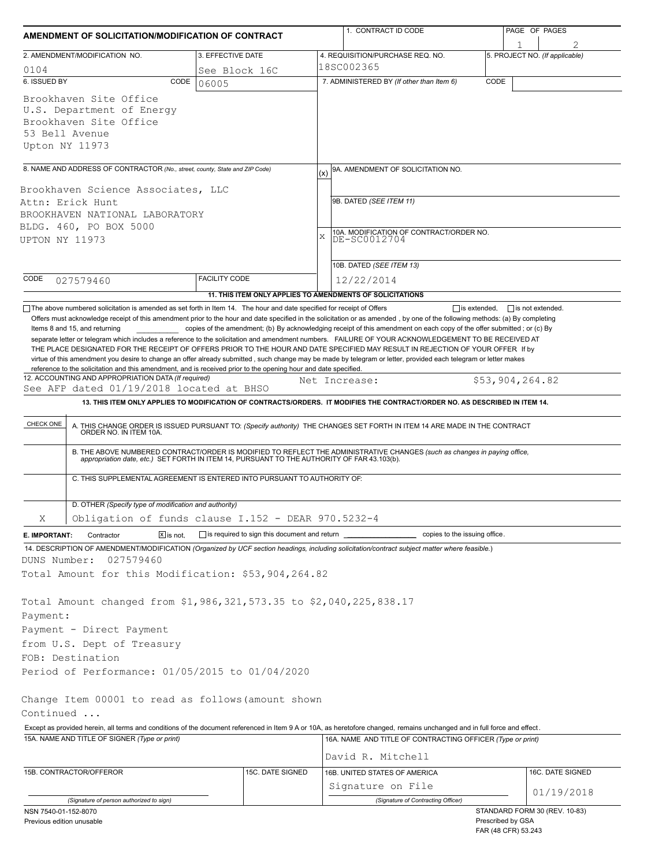|                                       |                                                                                                                                                                                                                    | AMENDMENT OF SOLICITATION/MODIFICATION OF CONTRACT | 1. CONTRACT ID CODE                                                                                                                                                                                                                     | PAGE OF PAGES                                  |  |  |  |
|---------------------------------------|--------------------------------------------------------------------------------------------------------------------------------------------------------------------------------------------------------------------|----------------------------------------------------|-----------------------------------------------------------------------------------------------------------------------------------------------------------------------------------------------------------------------------------------|------------------------------------------------|--|--|--|
|                                       | 2. AMENDMENT/MODIFICATION NO.                                                                                                                                                                                      | 3. EFFECTIVE DATE                                  | 4. REQUISITION/PURCHASE REQ. NO.                                                                                                                                                                                                        | 5. PROJECT NO. (If applicable)                 |  |  |  |
| 0104                                  |                                                                                                                                                                                                                    | See Block 16C                                      | 18SC002365                                                                                                                                                                                                                              |                                                |  |  |  |
| 6. ISSUED BY                          | CODE                                                                                                                                                                                                               | 06005                                              | 7. ADMINISTERED BY (If other than Item 6)                                                                                                                                                                                               | CODE                                           |  |  |  |
| 53 Bell Avenue<br>Upton NY 11973      | Brookhaven Site Office<br>U.S. Department of Energy<br>Brookhaven Site Office                                                                                                                                      |                                                    |                                                                                                                                                                                                                                         |                                                |  |  |  |
|                                       | 8. NAME AND ADDRESS OF CONTRACTOR (No., street, county, State and ZIP Code)                                                                                                                                        |                                                    | 9A. AMENDMENT OF SOLICITATION NO.                                                                                                                                                                                                       |                                                |  |  |  |
|                                       |                                                                                                                                                                                                                    |                                                    | (x)                                                                                                                                                                                                                                     |                                                |  |  |  |
|                                       | Brookhaven Science Associates, LLC                                                                                                                                                                                 |                                                    | 9B. DATED (SEE ITEM 11)                                                                                                                                                                                                                 |                                                |  |  |  |
| Attn: Erick Hunt                      | BROOKHAVEN NATIONAL LABORATORY                                                                                                                                                                                     |                                                    |                                                                                                                                                                                                                                         |                                                |  |  |  |
|                                       | BLDG. 460, PO BOX 5000                                                                                                                                                                                             |                                                    |                                                                                                                                                                                                                                         |                                                |  |  |  |
| UPTON NY 11973                        |                                                                                                                                                                                                                    |                                                    | 10A. MODIFICATION OF CONTRACT/ORDER NO.<br>X<br>DE-SC0012704                                                                                                                                                                            |                                                |  |  |  |
|                                       |                                                                                                                                                                                                                    |                                                    |                                                                                                                                                                                                                                         |                                                |  |  |  |
|                                       |                                                                                                                                                                                                                    |                                                    | 10B. DATED (SEE ITEM 13)                                                                                                                                                                                                                |                                                |  |  |  |
| CODE                                  | 027579460                                                                                                                                                                                                          | <b>FACILITY CODE</b>                               | 12/22/2014                                                                                                                                                                                                                              |                                                |  |  |  |
|                                       |                                                                                                                                                                                                                    |                                                    | 11. THIS ITEM ONLY APPLIES TO AMENDMENTS OF SOLICITATIONS                                                                                                                                                                               |                                                |  |  |  |
|                                       | The above numbered solicitation is amended as set forth in Item 14. The hour and date specified for receipt of Offers                                                                                              |                                                    |                                                                                                                                                                                                                                         | $\Box$ is extended,<br>$\Box$ is not extended. |  |  |  |
|                                       | reference to the solicitation and this amendment, and is received prior to the opening hour and date specified.<br>12. ACCOUNTING AND APPROPRIATION DATA (If required)<br>See AFP dated 01/19/2018 located at BHSO |                                                    | virtue of this amendment you desire to change an offer already submitted, such change may be made by telegram or letter, provided each telegram or letter makes<br>Net Increase:                                                        | \$53,904,264.82                                |  |  |  |
|                                       |                                                                                                                                                                                                                    |                                                    | 13. THIS ITEM ONLY APPLIES TO MODIFICATION OF CONTRACTS/ORDERS. IT MODIFIES THE CONTRACT/ORDER NO. AS DESCRIBED IN ITEM 14.                                                                                                             |                                                |  |  |  |
| CHECK ONE                             |                                                                                                                                                                                                                    |                                                    |                                                                                                                                                                                                                                         |                                                |  |  |  |
|                                       |                                                                                                                                                                                                                    |                                                    | A. THIS CHANGE ORDER IS ISSUED PURSUANT TO: (Specify authority) THE CHANGES SET FORTH IN ITEM 14 ARE MADE IN THE CONTRACT ORDER NO. IN ITEM 10A.                                                                                        |                                                |  |  |  |
|                                       |                                                                                                                                                                                                                    |                                                    | B. THE ABOVE NUMBERED CONTRACT/ORDER IS MODIFIED TO REFLECT THE ADMINISTRATIVE CHANGES (such as changes in paying office,<br>appropriation date, etc.) SET FORTH IN ITEM 14, PURSUANT TO THE AUTHORITY OF FAR 43.103(b).                |                                                |  |  |  |
|                                       |                                                                                                                                                                                                                    |                                                    |                                                                                                                                                                                                                                         |                                                |  |  |  |
|                                       | C. THIS SUPPLEMENTAL AGREEMENT IS ENTERED INTO PURSUANT TO AUTHORITY OF:                                                                                                                                           |                                                    |                                                                                                                                                                                                                                         |                                                |  |  |  |
|                                       |                                                                                                                                                                                                                    |                                                    |                                                                                                                                                                                                                                         |                                                |  |  |  |
|                                       |                                                                                                                                                                                                                    |                                                    |                                                                                                                                                                                                                                         |                                                |  |  |  |
|                                       | D. OTHER (Specify type of modification and authority)                                                                                                                                                              |                                                    |                                                                                                                                                                                                                                         |                                                |  |  |  |
| Χ                                     | Obligation of funds clause I.152 - DEAR 970.5232-4                                                                                                                                                                 |                                                    |                                                                                                                                                                                                                                         |                                                |  |  |  |
|                                       | Contractor<br>$X$ is not.                                                                                                                                                                                          | is required to sign this document and return __    | copies to the issuing office.                                                                                                                                                                                                           |                                                |  |  |  |
|                                       |                                                                                                                                                                                                                    |                                                    | 14. DESCRIPTION OF AMENDMENT/MODIFICATION (Organized by UCF section headings, including solicitation/contract subject matter where feasible.)                                                                                           |                                                |  |  |  |
|                                       | 027579460                                                                                                                                                                                                          |                                                    |                                                                                                                                                                                                                                         |                                                |  |  |  |
| E. IMPORTANT:                         | Total Amount for this Modification: \$53,904,264.82                                                                                                                                                                |                                                    |                                                                                                                                                                                                                                         |                                                |  |  |  |
|                                       |                                                                                                                                                                                                                    |                                                    |                                                                                                                                                                                                                                         |                                                |  |  |  |
|                                       | Total Amount changed from \$1,986,321,573.35 to \$2,040,225,838.17                                                                                                                                                 |                                                    |                                                                                                                                                                                                                                         |                                                |  |  |  |
|                                       |                                                                                                                                                                                                                    |                                                    |                                                                                                                                                                                                                                         |                                                |  |  |  |
|                                       | Payment - Direct Payment                                                                                                                                                                                           |                                                    |                                                                                                                                                                                                                                         |                                                |  |  |  |
|                                       | from U.S. Dept of Treasury<br>FOB: Destination                                                                                                                                                                     |                                                    |                                                                                                                                                                                                                                         |                                                |  |  |  |
|                                       |                                                                                                                                                                                                                    |                                                    |                                                                                                                                                                                                                                         |                                                |  |  |  |
|                                       | Period of Performance: 01/05/2015 to 01/04/2020                                                                                                                                                                    |                                                    |                                                                                                                                                                                                                                         |                                                |  |  |  |
|                                       |                                                                                                                                                                                                                    |                                                    |                                                                                                                                                                                                                                         |                                                |  |  |  |
|                                       | Change Item 00001 to read as follows (amount shown                                                                                                                                                                 |                                                    |                                                                                                                                                                                                                                         |                                                |  |  |  |
|                                       |                                                                                                                                                                                                                    |                                                    |                                                                                                                                                                                                                                         |                                                |  |  |  |
|                                       | 15A. NAME AND TITLE OF SIGNER (Type or print)                                                                                                                                                                      |                                                    | Except as provided herein, all terms and conditions of the document referenced in Item 9 A or 10A, as heretofore changed, remains unchanged and in full force and effect.<br>16A. NAME AND TITLE OF CONTRACTING OFFICER (Type or print) |                                                |  |  |  |
|                                       |                                                                                                                                                                                                                    |                                                    |                                                                                                                                                                                                                                         |                                                |  |  |  |
|                                       |                                                                                                                                                                                                                    |                                                    | David R. Mitchell                                                                                                                                                                                                                       |                                                |  |  |  |
| DUNS Number:<br>Payment:<br>Continued | 15B. CONTRACTOR/OFFEROR                                                                                                                                                                                            | 15C. DATE SIGNED                                   | 16B. UNITED STATES OF AMERICA                                                                                                                                                                                                           | 16C. DATE SIGNED                               |  |  |  |
|                                       | (Signature of person authorized to sign)                                                                                                                                                                           |                                                    | Signature on File<br>(Signature of Contracting Officer)                                                                                                                                                                                 | 01/19/2018                                     |  |  |  |

FAR (48 CFR) 53.243